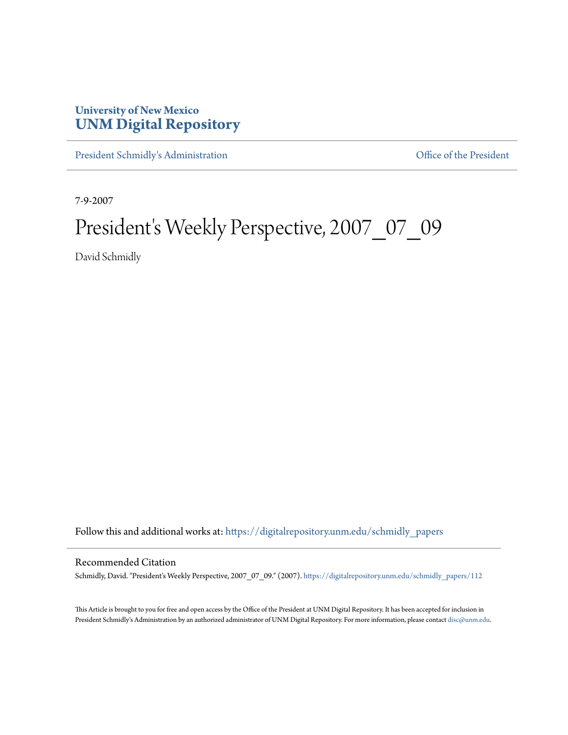## **University of New Mexico [UNM Digital Repository](https://digitalrepository.unm.edu?utm_source=digitalrepository.unm.edu%2Fschmidly_papers%2F112&utm_medium=PDF&utm_campaign=PDFCoverPages)**

[President Schmidly's Administration](https://digitalrepository.unm.edu/schmidly_papers?utm_source=digitalrepository.unm.edu%2Fschmidly_papers%2F112&utm_medium=PDF&utm_campaign=PDFCoverPages) [Office of the President](https://digitalrepository.unm.edu/ofc_president?utm_source=digitalrepository.unm.edu%2Fschmidly_papers%2F112&utm_medium=PDF&utm_campaign=PDFCoverPages)

7-9-2007

## President's Weekly Perspective, 2007\_07\_09

David Schmidly

Follow this and additional works at: [https://digitalrepository.unm.edu/schmidly\\_papers](https://digitalrepository.unm.edu/schmidly_papers?utm_source=digitalrepository.unm.edu%2Fschmidly_papers%2F112&utm_medium=PDF&utm_campaign=PDFCoverPages)

## Recommended Citation

Schmidly, David. "President's Weekly Perspective, 2007\_07\_09." (2007). [https://digitalrepository.unm.edu/schmidly\\_papers/112](https://digitalrepository.unm.edu/schmidly_papers/112?utm_source=digitalrepository.unm.edu%2Fschmidly_papers%2F112&utm_medium=PDF&utm_campaign=PDFCoverPages)

This Article is brought to you for free and open access by the Office of the President at UNM Digital Repository. It has been accepted for inclusion in President Schmidly's Administration by an authorized administrator of UNM Digital Repository. For more information, please contact [disc@unm.edu](mailto:disc@unm.edu).